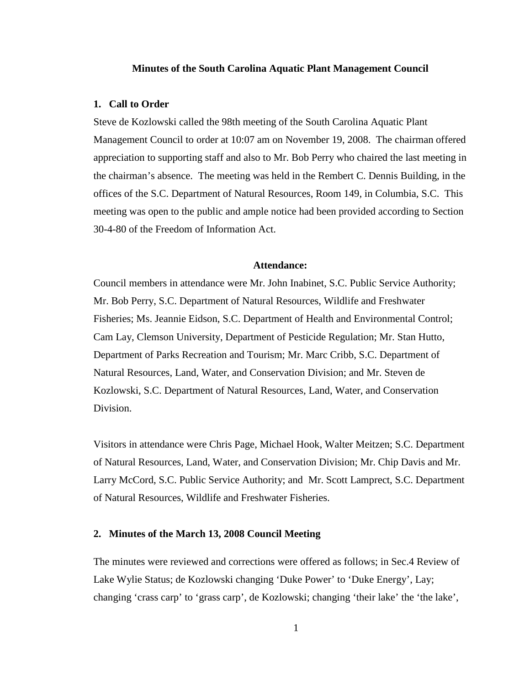#### **Minutes of the South Carolina Aquatic Plant Management Council**

## **1. Call to Order**

Steve de Kozlowski called the 98th meeting of the South Carolina Aquatic Plant Management Council to order at 10:07 am on November 19, 2008. The chairman offered appreciation to supporting staff and also to Mr. Bob Perry who chaired the last meeting in the chairman's absence. The meeting was held in the Rembert C. Dennis Building, in the offices of the S.C. Department of Natural Resources, Room 149, in Columbia, S.C. This meeting was open to the public and ample notice had been provided according to Section 30-4-80 of the Freedom of Information Act.

### **Attendance:**

Council members in attendance were Mr. John Inabinet, S.C. Public Service Authority; Mr. Bob Perry, S.C. Department of Natural Resources, Wildlife and Freshwater Fisheries; Ms. Jeannie Eidson, S.C. Department of Health and Environmental Control; Cam Lay, Clemson University, Department of Pesticide Regulation; Mr. Stan Hutto, Department of Parks Recreation and Tourism; Mr. Marc Cribb, S.C. Department of Natural Resources, Land, Water, and Conservation Division; and Mr. Steven de Kozlowski, S.C. Department of Natural Resources, Land, Water, and Conservation Division.

Visitors in attendance were Chris Page, Michael Hook, Walter Meitzen; S.C. Department of Natural Resources, Land, Water, and Conservation Division; Mr. Chip Davis and Mr. Larry McCord, S.C. Public Service Authority; and Mr. Scott Lamprect, S.C. Department of Natural Resources, Wildlife and Freshwater Fisheries.

## **2. Minutes of the March 13, 2008 Council Meeting**

The minutes were reviewed and corrections were offered as follows; in Sec.4 Review of Lake Wylie Status; de Kozlowski changing 'Duke Power' to 'Duke Energy', Lay; changing 'crass carp' to 'grass carp', de Kozlowski; changing 'their lake' the 'the lake',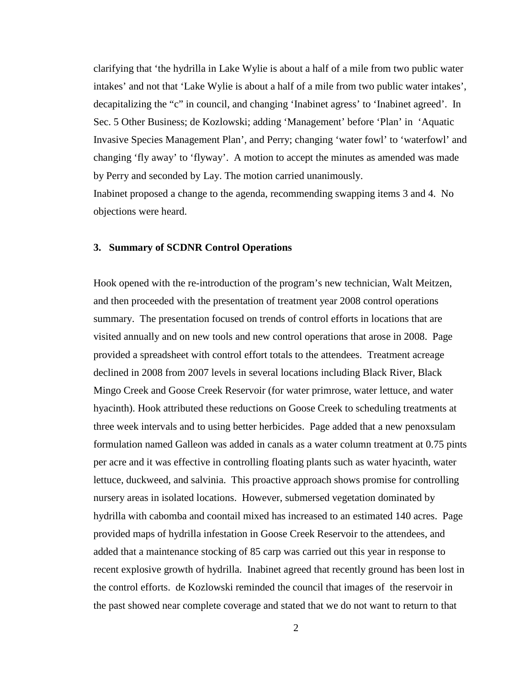clarifying that 'the hydrilla in Lake Wylie is about a half of a mile from two public water intakes' and not that 'Lake Wylie is about a half of a mile from two public water intakes', decapitalizing the "c" in council, and changing 'Inabinet agress' to 'Inabinet agreed'. In Sec. 5 Other Business; de Kozlowski; adding 'Management' before 'Plan' in 'Aquatic Invasive Species Management Plan', and Perry; changing 'water fowl' to 'waterfowl' and changing 'fly away' to 'flyway'. A motion to accept the minutes as amended was made by Perry and seconded by Lay. The motion carried unanimously.

Inabinet proposed a change to the agenda, recommending swapping items 3 and 4. No objections were heard.

## **3. Summary of SCDNR Control Operations**

Hook opened with the re-introduction of the program's new technician, Walt Meitzen, and then proceeded with the presentation of treatment year 2008 control operations summary. The presentation focused on trends of control efforts in locations that are visited annually and on new tools and new control operations that arose in 2008. Page provided a spreadsheet with control effort totals to the attendees. Treatment acreage declined in 2008 from 2007 levels in several locations including Black River, Black Mingo Creek and Goose Creek Reservoir (for water primrose, water lettuce, and water hyacinth). Hook attributed these reductions on Goose Creek to scheduling treatments at three week intervals and to using better herbicides. Page added that a new penoxsulam formulation named Galleon was added in canals as a water column treatment at 0.75 pints per acre and it was effective in controlling floating plants such as water hyacinth, water lettuce, duckweed, and salvinia. This proactive approach shows promise for controlling nursery areas in isolated locations. However, submersed vegetation dominated by hydrilla with cabomba and coontail mixed has increased to an estimated 140 acres. Page provided maps of hydrilla infestation in Goose Creek Reservoir to the attendees, and added that a maintenance stocking of 85 carp was carried out this year in response to recent explosive growth of hydrilla. Inabinet agreed that recently ground has been lost in the control efforts. de Kozlowski reminded the council that images of the reservoir in the past showed near complete coverage and stated that we do not want to return to that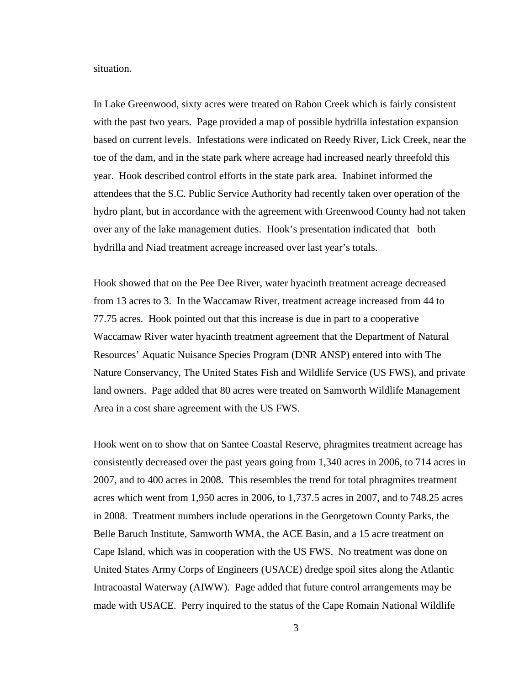situation.

In Lake Greenwood, sixty acres were treated on Rabon Creek which is fairly consistent with the past two years. Page provided a map of possible hydrilla infestation expansion based on current levels. Infestations were indicated on Reedy River, Lick Creek, near the toe of the dam, and in the state park where acreage had increased nearly threefold this year. Hook described control efforts in the state park area. Inabinet informed the attendees that the S.C. Public Service Authority had recently taken over operation of the hydro plant, but in accordance with the agreement with Greenwood County had not taken over any of the lake management duties. Hook's presentation indicated that both hydrilla and Niad treatment acreage increased over last year's totals.

Hook showed that on the Pee Dee River, water hyacinth treatment acreage decreased from 13 acres to 3. In the Waccamaw River, treatment acreage increased from 44 to 77.75 acres. Hook pointed out that this increase is due in part to a cooperative Waccamaw River water hyacinth treatment agreement that the Department of Natural Resources' Aquatic Nuisance Species Program (DNR ANSP) entered into with The Nature Conservancy, The United States Fish and Wildlife Service (US FWS), and private land owners. Page added that 80 acres were treated on Samworth Wildlife Management Area in a cost share agreement with the US FWS.

Hook went on to show that on Santee Coastal Reserve, phragmites treatment acreage has consistently decreased over the past years going from 1,340 acres in 2006, to 714 acres in 2007, and to 400 acres in 2008. This resembles the trend for total phragmites treatment acres which went from 1,950 acres in 2006, to 1,737.5 acres in 2007, and to 748.25 acres in 2008. Treatment numbers include operations in the Georgetown County Parks, the Belle Baruch Institute, Samworth WMA, the ACE Basin, and a 15 acre treatment on Cape Island, which was in cooperation with the US FWS. No treatment was done on United States Army Corps of Engineers (USACE) dredge spoil sites along the Atlantic Intracoastal Waterway (AIWW). Page added that future control arrangements may be made with USACE. Perry inquired to the status of the Cape Romain National Wildlife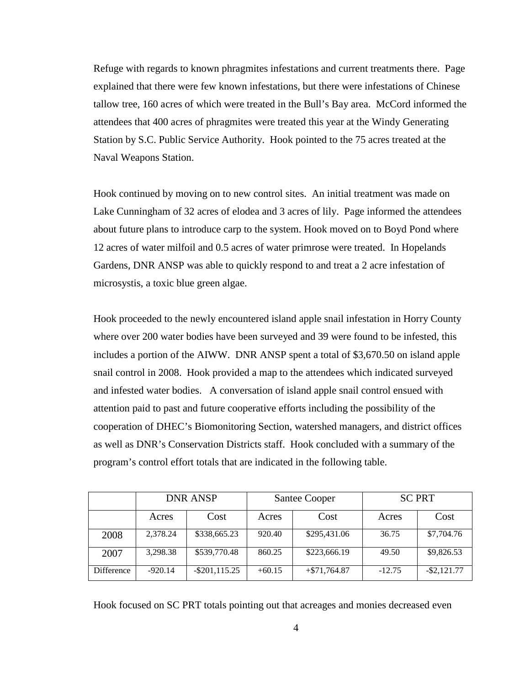Refuge with regards to known phragmites infestations and current treatments there. Page explained that there were few known infestations, but there were infestations of Chinese tallow tree, 160 acres of which were treated in the Bull's Bay area. McCord informed the attendees that 400 acres of phragmites were treated this year at the Windy Generating Station by S.C. Public Service Authority. Hook pointed to the 75 acres treated at the Naval Weapons Station.

Hook continued by moving on to new control sites. An initial treatment was made on Lake Cunningham of 32 acres of elodea and 3 acres of lily. Page informed the attendees about future plans to introduce carp to the system. Hook moved on to Boyd Pond where 12 acres of water milfoil and 0.5 acres of water primrose were treated. In Hopelands Gardens, DNR ANSP was able to quickly respond to and treat a 2 acre infestation of microsystis, a toxic blue green algae.

Hook proceeded to the newly encountered island apple snail infestation in Horry County where over 200 water bodies have been surveyed and 39 were found to be infested, this includes a portion of the AIWW. DNR ANSP spent a total of \$3,670.50 on island apple snail control in 2008. Hook provided a map to the attendees which indicated surveyed and infested water bodies. A conversation of island apple snail control ensued with attention paid to past and future cooperative efforts including the possibility of the cooperation of DHEC's Biomonitoring Section, watershed managers, and district offices as well as DNR's Conservation Districts staff. Hook concluded with a summary of the program's control effort totals that are indicated in the following table.

|            | <b>DNR ANSP</b> |                  | <b>Santee Cooper</b> |                | <b>SC PRT</b> |                |
|------------|-----------------|------------------|----------------------|----------------|---------------|----------------|
|            | Acres           | Cost             | Acres                | Cost           | Acres         | Cost           |
| 2008       | 2,378.24        | \$338,665.23     | 920.40               | \$295,431.06   | 36.75         | \$7,704.76     |
| 2007       | 3,298.38        | \$539,770.48     | 860.25               | \$223,666.19   | 49.50         | \$9,826.53     |
| Difference | $-920.14$       | $-$ \$201,115.25 | $+60.15$             | $+ $71,764.87$ | $-12.75$      | $-$ \$2,121.77 |

Hook focused on SC PRT totals pointing out that acreages and monies decreased even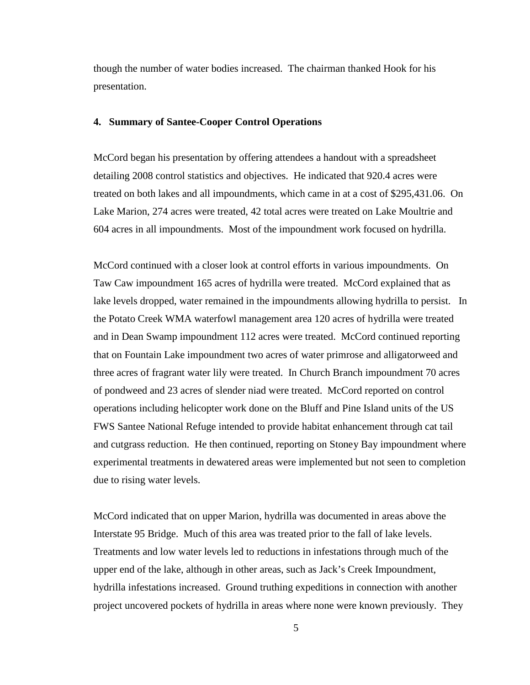though the number of water bodies increased. The chairman thanked Hook for his presentation.

#### **4. Summary of Santee-Cooper Control Operations**

McCord began his presentation by offering attendees a handout with a spreadsheet detailing 2008 control statistics and objectives. He indicated that 920.4 acres were treated on both lakes and all impoundments, which came in at a cost of \$295,431.06. On Lake Marion, 274 acres were treated, 42 total acres were treated on Lake Moultrie and 604 acres in all impoundments. Most of the impoundment work focused on hydrilla.

McCord continued with a closer look at control efforts in various impoundments. On Taw Caw impoundment 165 acres of hydrilla were treated. McCord explained that as lake levels dropped, water remained in the impoundments allowing hydrilla to persist. In the Potato Creek WMA waterfowl management area 120 acres of hydrilla were treated and in Dean Swamp impoundment 112 acres were treated. McCord continued reporting that on Fountain Lake impoundment two acres of water primrose and alligatorweed and three acres of fragrant water lily were treated. In Church Branch impoundment 70 acres of pondweed and 23 acres of slender niad were treated. McCord reported on control operations including helicopter work done on the Bluff and Pine Island units of the US FWS Santee National Refuge intended to provide habitat enhancement through cat tail and cutgrass reduction. He then continued, reporting on Stoney Bay impoundment where experimental treatments in dewatered areas were implemented but not seen to completion due to rising water levels.

McCord indicated that on upper Marion, hydrilla was documented in areas above the Interstate 95 Bridge. Much of this area was treated prior to the fall of lake levels. Treatments and low water levels led to reductions in infestations through much of the upper end of the lake, although in other areas, such as Jack's Creek Impoundment, hydrilla infestations increased. Ground truthing expeditions in connection with another project uncovered pockets of hydrilla in areas where none were known previously. They

5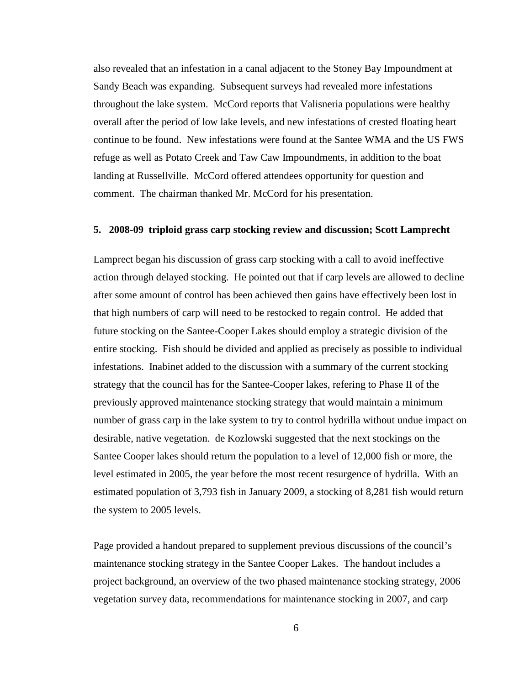also revealed that an infestation in a canal adjacent to the Stoney Bay Impoundment at Sandy Beach was expanding. Subsequent surveys had revealed more infestations throughout the lake system. McCord reports that Valisneria populations were healthy overall after the period of low lake levels, and new infestations of crested floating heart continue to be found. New infestations were found at the Santee WMA and the US FWS refuge as well as Potato Creek and Taw Caw Impoundments, in addition to the boat landing at Russellville. McCord offered attendees opportunity for question and comment. The chairman thanked Mr. McCord for his presentation.

## **5. 2008-09 triploid grass carp stocking review and discussion; Scott Lamprecht**

Lamprect began his discussion of grass carp stocking with a call to avoid ineffective action through delayed stocking. He pointed out that if carp levels are allowed to decline after some amount of control has been achieved then gains have effectively been lost in that high numbers of carp will need to be restocked to regain control. He added that future stocking on the Santee-Cooper Lakes should employ a strategic division of the entire stocking. Fish should be divided and applied as precisely as possible to individual infestations. Inabinet added to the discussion with a summary of the current stocking strategy that the council has for the Santee-Cooper lakes, refering to Phase II of the previously approved maintenance stocking strategy that would maintain a minimum number of grass carp in the lake system to try to control hydrilla without undue impact on desirable, native vegetation. de Kozlowski suggested that the next stockings on the Santee Cooper lakes should return the population to a level of 12,000 fish or more, the level estimated in 2005, the year before the most recent resurgence of hydrilla. With an estimated population of 3,793 fish in January 2009, a stocking of 8,281 fish would return the system to 2005 levels.

Page provided a handout prepared to supplement previous discussions of the council's maintenance stocking strategy in the Santee Cooper Lakes. The handout includes a project background, an overview of the two phased maintenance stocking strategy, 2006 vegetation survey data, recommendations for maintenance stocking in 2007, and carp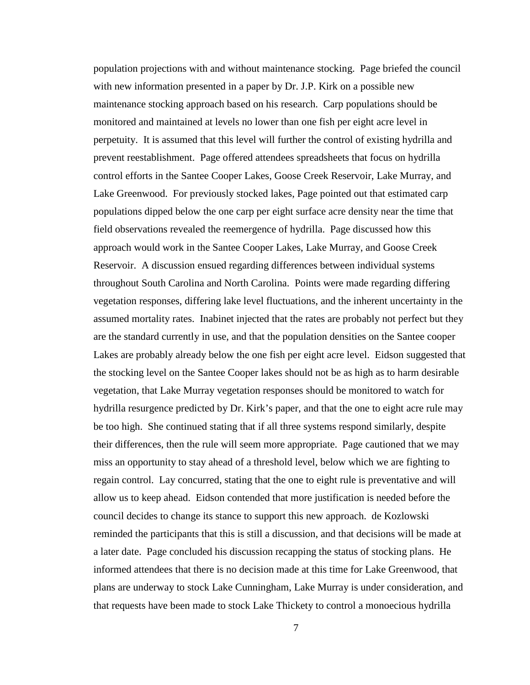population projections with and without maintenance stocking. Page briefed the council with new information presented in a paper by Dr. J.P. Kirk on a possible new maintenance stocking approach based on his research. Carp populations should be monitored and maintained at levels no lower than one fish per eight acre level in perpetuity. It is assumed that this level will further the control of existing hydrilla and prevent reestablishment. Page offered attendees spreadsheets that focus on hydrilla control efforts in the Santee Cooper Lakes, Goose Creek Reservoir, Lake Murray, and Lake Greenwood. For previously stocked lakes, Page pointed out that estimated carp populations dipped below the one carp per eight surface acre density near the time that field observations revealed the reemergence of hydrilla. Page discussed how this approach would work in the Santee Cooper Lakes, Lake Murray, and Goose Creek Reservoir. A discussion ensued regarding differences between individual systems throughout South Carolina and North Carolina. Points were made regarding differing vegetation responses, differing lake level fluctuations, and the inherent uncertainty in the assumed mortality rates. Inabinet injected that the rates are probably not perfect but they are the standard currently in use, and that the population densities on the Santee cooper Lakes are probably already below the one fish per eight acre level. Eidson suggested that the stocking level on the Santee Cooper lakes should not be as high as to harm desirable vegetation, that Lake Murray vegetation responses should be monitored to watch for hydrilla resurgence predicted by Dr. Kirk's paper, and that the one to eight acre rule may be too high. She continued stating that if all three systems respond similarly, despite their differences, then the rule will seem more appropriate. Page cautioned that we may miss an opportunity to stay ahead of a threshold level, below which we are fighting to regain control. Lay concurred, stating that the one to eight rule is preventative and will allow us to keep ahead. Eidson contended that more justification is needed before the council decides to change its stance to support this new approach. de Kozlowski reminded the participants that this is still a discussion, and that decisions will be made at a later date. Page concluded his discussion recapping the status of stocking plans. He informed attendees that there is no decision made at this time for Lake Greenwood, that plans are underway to stock Lake Cunningham, Lake Murray is under consideration, and that requests have been made to stock Lake Thickety to control a monoecious hydrilla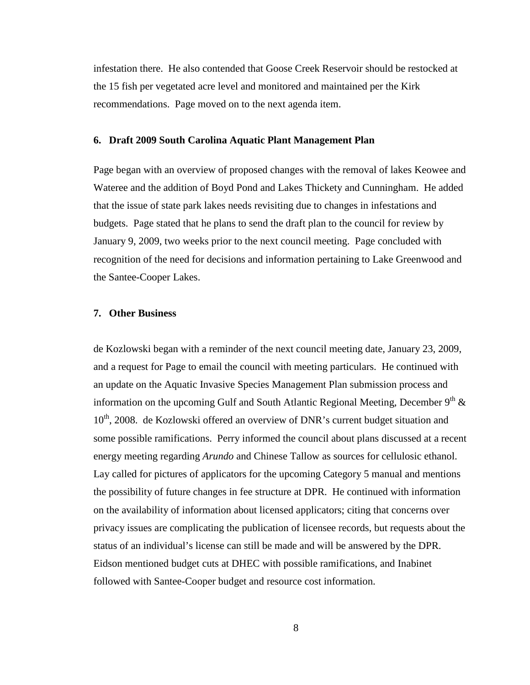infestation there. He also contended that Goose Creek Reservoir should be restocked at the 15 fish per vegetated acre level and monitored and maintained per the Kirk recommendations. Page moved on to the next agenda item.

## **6. Draft 2009 South Carolina Aquatic Plant Management Plan**

Page began with an overview of proposed changes with the removal of lakes Keowee and Wateree and the addition of Boyd Pond and Lakes Thickety and Cunningham. He added that the issue of state park lakes needs revisiting due to changes in infestations and budgets. Page stated that he plans to send the draft plan to the council for review by January 9, 2009, two weeks prior to the next council meeting. Page concluded with recognition of the need for decisions and information pertaining to Lake Greenwood and the Santee-Cooper Lakes.

## **7. Other Business**

de Kozlowski began with a reminder of the next council meeting date, January 23, 2009, and a request for Page to email the council with meeting particulars. He continued with an update on the Aquatic Invasive Species Management Plan submission process and information on the upcoming Gulf and South Atlantic Regional Meeting, December  $9<sup>th</sup>$  & 10<sup>th</sup>, 2008. de Kozlowski offered an overview of DNR's current budget situation and some possible ramifications. Perry informed the council about plans discussed at a recent energy meeting regarding *Arundo* and Chinese Tallow as sources for cellulosic ethanol. Lay called for pictures of applicators for the upcoming Category 5 manual and mentions the possibility of future changes in fee structure at DPR. He continued with information on the availability of information about licensed applicators; citing that concerns over privacy issues are complicating the publication of licensee records, but requests about the status of an individual's license can still be made and will be answered by the DPR. Eidson mentioned budget cuts at DHEC with possible ramifications, and Inabinet followed with Santee-Cooper budget and resource cost information.